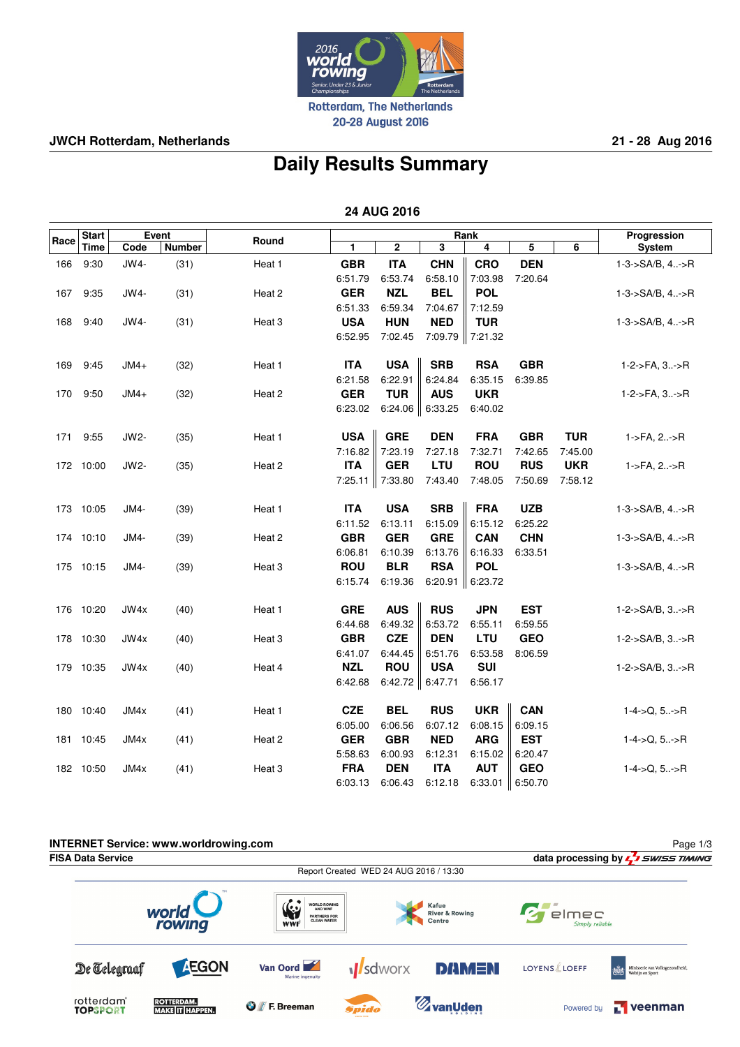

20-28 August 2016

## **JWCH Rotterdam, Netherlands 21 - 28 Aug 2016**

# **Daily Results Summary**

 **24 AUG 2016**

|      | <b>Start</b> |        | Event         | Rank              |            |             | Progression          |            |            |            |                             |
|------|--------------|--------|---------------|-------------------|------------|-------------|----------------------|------------|------------|------------|-----------------------------|
| Race | Time         | Code   | <b>Number</b> | Round             | 1          | $\mathbf 2$ | 3                    | 4          | 5          | 6          | System                      |
| 166  | 9:30         | $JWA-$ | (31)          | Heat 1            | <b>GBR</b> | <b>ITA</b>  | <b>CHN</b>           | <b>CRO</b> | <b>DEN</b> |            | 1-3->SA/B, 4->R             |
|      |              |        |               |                   | 6:51.79    | 6:53.74     | 6:58.10              | 7:03.98    | 7:20.64    |            |                             |
| 167  | 9:35         | JW4-   | (31)          | Heat 2            | <b>GER</b> | <b>NZL</b>  | <b>BEL</b>           | <b>POL</b> |            |            | $1-3->SA/B, 4:-\gt R$       |
|      |              |        |               |                   | 6:51.33    | 6:59.34     | 7:04.67              | 7:12.59    |            |            |                             |
| 168  | 9:40         | JW4-   | (31)          | Heat 3            | <b>USA</b> | <b>HUN</b>  | <b>NED</b>           | <b>TUR</b> |            |            | 1-3->SA/B, 4->R             |
|      |              |        |               |                   | 6:52.95    | 7:02.45     | 7:09.79              | 7:21.32    |            |            |                             |
| 169  | 9:45         | $JMA+$ | (32)          | Heat 1            | <b>ITA</b> | <b>USA</b>  | <b>SRB</b>           | <b>RSA</b> | <b>GBR</b> |            | $1-2$ ->FA, $3$ ->R         |
|      |              |        |               |                   | 6:21.58    | 6:22.91     | 6:24.84              | 6:35.15    | 6:39.85    |            |                             |
| 170  | 9:50         | $JMA+$ | (32)          | Heat 2            | <b>GER</b> | <b>TUR</b>  | <b>AUS</b>           | <b>UKR</b> |            |            | 1-2->FA, 3->R               |
|      |              |        |               |                   | 6:23.02    |             | 6:24.06 $\ $ 6:33.25 | 6:40.02    |            |            |                             |
| 171  | 9:55         | JW2-   | (35)          | Heat 1            | <b>USA</b> | <b>GRE</b>  | <b>DEN</b>           | <b>FRA</b> | <b>GBR</b> | <b>TUR</b> | 1->FA, 2->R                 |
|      |              |        |               |                   | 7:16.82    | 7:23.19     | 7:27.18              | 7:32.71    | 7:42.65    | 7:45.00    |                             |
|      | 172 10:00    | JW2-   | (35)          | Heat 2            | <b>ITA</b> | <b>GER</b>  | <b>LTU</b>           | <b>ROU</b> | <b>RUS</b> | <b>UKR</b> | 1->FA, 2->R                 |
|      |              |        |               |                   | 7:25.11    | 7:33.80     | 7:43.40              | 7:48.05    | 7:50.69    | 7:58.12    |                             |
| 173  | 10:05        | JM4-   | (39)          | Heat 1            | <b>ITA</b> | <b>USA</b>  | <b>SRB</b>           | <b>FRA</b> | <b>UZB</b> |            | $1 - 3 - S A/B$ , $4 - S R$ |
|      |              |        |               |                   | 6:11.52    | 6:13.11     | 6:15.09              | 6:15.12    | 6:25.22    |            |                             |
|      | 174 10:10    | JM4-   | (39)          | Heat 2            | <b>GBR</b> | <b>GER</b>  | <b>GRE</b>           | <b>CAN</b> | <b>CHN</b> |            | $1 - 3 - S A/B$ , $4 - S R$ |
|      |              |        |               |                   | 6:06.81    | 6:10.39     | 6:13.76              | 6:16.33    | 6:33.51    |            |                             |
|      | 175 10:15    | JM4-   | (39)          | Heat <sub>3</sub> | <b>ROU</b> | <b>BLR</b>  | <b>RSA</b>           | <b>POL</b> |            |            | 1-3->SA/B, 4->R             |
|      |              |        |               |                   | 6:15.74    | 6:19.36     | 6:20.91              | 6:23.72    |            |            |                             |
|      | 176 10:20    | JW4x   | (40)          | Heat 1            | <b>GRE</b> | <b>AUS</b>  | <b>RUS</b>           | <b>JPN</b> | <b>EST</b> |            | $1 - 2 - S A/B$ , $3 - S R$ |
|      |              |        |               |                   | 6:44.68    | 6:49.32     | 6:53.72              | 6:55.11    | 6:59.55    |            |                             |
| 178  | 10:30        | JW4x   | (40)          | Heat 3            | <b>GBR</b> | <b>CZE</b>  | <b>DEN</b>           | <b>LTU</b> | <b>GEO</b> |            | 1-2->SA/B, 3->R             |
|      |              |        |               |                   | 6:41.07    | 6:44.45     | 6:51.76              | 6:53.58    | 8:06.59    |            |                             |
|      | 179 10:35    | JW4x   | (40)          | Heat 4            | <b>NZL</b> | <b>ROU</b>  | <b>USA</b>           | <b>SUI</b> |            |            | $1 - 2 - S A/B$ , $3 - S R$ |
|      |              |        |               |                   | 6:42.68    |             | 6:42.72 $\ $ 6:47.71 | 6:56.17    |            |            |                             |
|      | 180 10:40    | JM4x   | (41)          | Heat 1            | <b>CZE</b> | <b>BEL</b>  | <b>RUS</b>           | <b>UKR</b> | <b>CAN</b> |            | $1 - 4 - > Q, 5 > R$        |
|      |              |        |               |                   | 6:05.00    | 6:06.56     | 6:07.12              | 6:08.15    | 6:09.15    |            |                             |
|      | 181 10:45    | JM4x   | (41)          | Heat 2            | <b>GER</b> | <b>GBR</b>  | <b>NED</b>           | <b>ARG</b> | <b>EST</b> |            | $1 - 4 - > Q, 5 > R$        |
|      |              |        |               |                   | 5:58.63    | 6:00.93     | 6:12.31              | 6:15.02    | 6:20.47    |            |                             |
|      | 182 10:50    | JM4x   | (41)          | Heat 3            | <b>FRA</b> | <b>DEN</b>  | <b>ITA</b>           | <b>AUT</b> | <b>GEO</b> |            | $1 - 4 - > Q, 5 > R$        |
|      |              |        |               |                   | 6:03.13    | 6:06.43     | 6:12.18              | 6:33.01    | 6:50.70    |            |                             |

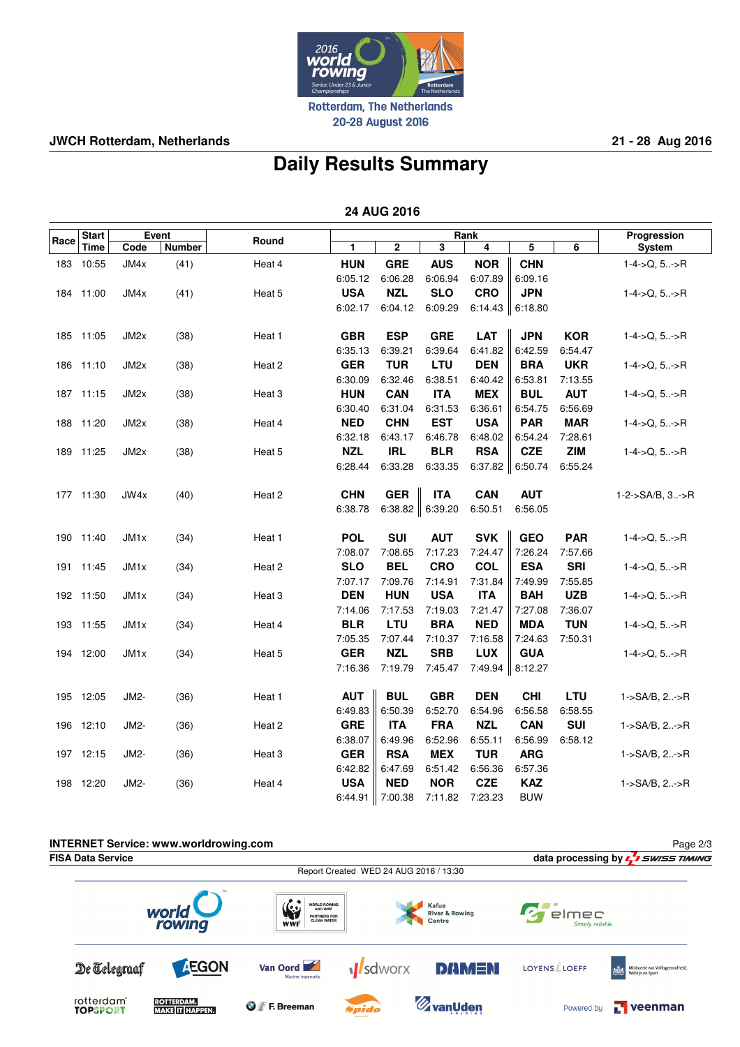

20-28 August 2016

## **JWCH Rotterdam, Netherlands 21 - 28 Aug 2016**

## **Daily Results Summary**

 **24 AUG 2016**

|      | <b>Start</b> |                   | Event         |        |                       |                      |                       | Rank                  |                       |                       | Progression                 |
|------|--------------|-------------------|---------------|--------|-----------------------|----------------------|-----------------------|-----------------------|-----------------------|-----------------------|-----------------------------|
| Race | Time         | Code              | <b>Number</b> | Round  | 1                     | 2                    | 3                     | 4                     | 5                     | 6                     | System                      |
| 183  | 10:55        | JM4x              | (41)          | Heat 4 | <b>HUN</b>            | <b>GRE</b>           | <b>AUS</b>            | <b>NOR</b>            | <b>CHN</b>            |                       | $1-4$ ->Q, 5->R             |
|      |              |                   |               |        | 6:05.12               | 6:06.28              | 6:06.94               | 6:07.89               | 6:09.16               |                       |                             |
|      | 184 11:00    | JM4x              | (41)          | Heat 5 | <b>USA</b>            | <b>NZL</b>           | <b>SLO</b>            | <b>CRO</b>            | <b>JPN</b>            |                       | $1 - 4 - > Q, 5 - > R$      |
|      |              |                   |               |        | 6:02.17               | 6:04.12              | 6:09.29               | 6:14.43               | 6:18.80               |                       |                             |
|      |              |                   |               |        |                       |                      |                       |                       |                       |                       |                             |
|      | 185 11:05    | JM <sub>2</sub> x | (38)          | Heat 1 | <b>GBR</b>            | <b>ESP</b>           | <b>GRE</b>            | <b>LAT</b>            | <b>JPN</b>            | <b>KOR</b>            | $1 - 4 - > Q, 5 - > R$      |
|      |              |                   |               |        | 6:35.13               | 6:39.21              | 6:39.64               | 6:41.82               | 6:42.59               | 6:54.47               |                             |
|      | 186 11:10    | JM2x              | (38)          | Heat 2 | <b>GER</b>            | <b>TUR</b>           | LTU                   | <b>DEN</b>            | <b>BRA</b>            | <b>UKR</b>            | $1-4$ ->Q, $5$ ->R          |
|      |              |                   |               |        | 6:30.09               | 6:32.46              | 6:38.51               | 6:40.42               | 6:53.81               | 7:13.55               |                             |
|      | 187 11:15    | JM <sub>2x</sub>  | (38)          | Heat 3 | <b>HUN</b>            | <b>CAN</b>           | <b>ITA</b>            | <b>MEX</b>            | <b>BUL</b>            | <b>AUT</b>            | $1-4$ ->Q, $5$ ->R          |
|      |              |                   |               |        | 6:30.40               | 6:31.04              | 6:31.53               | 6:36.61               | 6:54.75               | 6:56.69               |                             |
| 188  | 11:20        | JM <sub>2</sub> x | (38)          | Heat 4 | <b>NED</b>            | <b>CHN</b>           | <b>EST</b>            | <b>USA</b>            | <b>PAR</b>            | <b>MAR</b>            | $1 - 4 - > Q, 5 - > R$      |
|      |              |                   |               |        | 6:32.18               | 6:43.17              | 6:46.78               | 6:48.02               | 6:54.24               | 7:28.61               |                             |
|      | 189 11:25    | JM <sub>2</sub> x | (38)          | Heat 5 | <b>NZL</b>            | <b>IRL</b>           | <b>BLR</b>            | <b>RSA</b>            | <b>CZE</b>            | <b>ZIM</b>            | $1-4$ ->Q, 5->R             |
|      |              |                   |               |        | 6:28.44               | 6:33.28              | 6:33.35               | 6:37.82               | 6:50.74               | 6:55.24               |                             |
|      |              |                   |               |        |                       |                      |                       |                       |                       |                       |                             |
|      | 177 11:30    | JW4x              | (40)          | Heat 2 | <b>CHN</b>            | <b>GER</b>           | <b>ITA</b>            | <b>CAN</b>            | <b>AUT</b>            |                       | $1 - 2 - S A/B$ , $3 - S R$ |
|      |              |                   |               |        | 6:38.78               | 6:38.82 $\ $ 6:39.20 |                       | 6:50.51               | 6:56.05               |                       |                             |
|      |              |                   |               |        |                       |                      |                       |                       |                       |                       |                             |
|      | 190 11:40    | JM <sub>1x</sub>  | (34)          | Heat 1 | <b>POL</b>            | <b>SUI</b>           | <b>AUT</b>            | <b>SVK</b>            | <b>GEO</b>            | <b>PAR</b>            | $1 - 4 - > Q, 5 - > R$      |
|      |              |                   |               |        | 7:08.07               | 7:08.65              | 7:17.23               | 7:24.47               | 7:26.24               | 7:57.66               |                             |
|      | 191 11:45    | JM1x              | (34)          | Heat 2 | <b>SLO</b>            | <b>BEL</b>           | <b>CRO</b>            | <b>COL</b>            | <b>ESA</b>            | <b>SRI</b>            | $1-4$ ->Q, $5$ ->R          |
|      |              |                   |               |        | 7:07.17               | 7:09.76              | 7:14.91               | 7.31.84               | 7:49.99               | 7:55.85               |                             |
|      | 192 11:50    | JM <sub>1x</sub>  | (34)          | Heat 3 | <b>DEN</b>            | <b>HUN</b>           | <b>USA</b>            | <b>ITA</b>            | <b>BAH</b>            | <b>UZB</b>            | $1-4->Q, 5>R$               |
|      |              |                   |               |        | 7:14.06<br><b>BLR</b> | 7:17.53<br>LTU       | 7:19.03<br><b>BRA</b> | 7:21.47<br><b>NED</b> | 7:27.08<br><b>MDA</b> | 7:36.07<br><b>TUN</b> |                             |
| 193  | 11:55        | JM <sub>1x</sub>  | (34)          | Heat 4 | 7:05.35               | 7:07.44              | 7:10.37               |                       |                       |                       | $1-4$ ->Q, $5$ ->R          |
|      |              |                   |               |        | <b>GER</b>            | <b>NZL</b>           | <b>SRB</b>            | 7:16.58<br><b>LUX</b> | 7:24.63<br><b>GUA</b> | 7:50.31               |                             |
|      | 194 12:00    | JM <sub>1x</sub>  | (34)          | Heat 5 | 7:16.36               |                      | 7:45.47               | 7:49.94               | 8:12.27               |                       | $1-4$ ->Q, 5->R             |
|      |              |                   |               |        |                       | 7:19.79              |                       |                       |                       |                       |                             |
|      | 195 12:05    | JM2-              | (36)          | Heat 1 | <b>AUT</b>            | <b>BUL</b>           | <b>GBR</b>            | <b>DEN</b>            | <b>CHI</b>            | LTU                   | 1->SA/B, 2->R               |
|      |              |                   |               |        | 6:49.83               | 6:50.39              | 6:52.70               | 6:54.96               | 6:56.58               | 6:58.55               |                             |
| 196  | 12:10        | JM2-              | (36)          | Heat 2 | <b>GRE</b>            | <b>ITA</b>           | <b>FRA</b>            | <b>NZL</b>            | <b>CAN</b>            | <b>SUI</b>            | 1->SA/B, 2->R               |
|      |              |                   |               |        | 6:38.07               | 6:49.96              | 6:52.96               | 6:55.11               | 6:56.99               | 6:58.12               |                             |
|      | 197 12:15    | JM2-              | (36)          | Heat 3 | <b>GER</b>            | <b>RSA</b>           | <b>MEX</b>            | <b>TUR</b>            | <b>ARG</b>            |                       | 1->SA/B, 2->R               |
|      |              |                   |               |        | 6:42.82               | 6:47.69              | 6:51.42               | 6:56.36               | 6:57.36               |                       |                             |
|      | 198 12:20    | JM2-              | (36)          | Heat 4 | <b>USA</b>            | <b>NED</b>           | <b>NOR</b>            | <b>CZE</b>            | <b>KAZ</b>            |                       | 1->SA/B, 2->R               |
|      |              |                   |               |        | 6:44.91               | $\  7:00.38$         | 7:11.82               | 7:23.23               | <b>BUW</b>            |                       |                             |